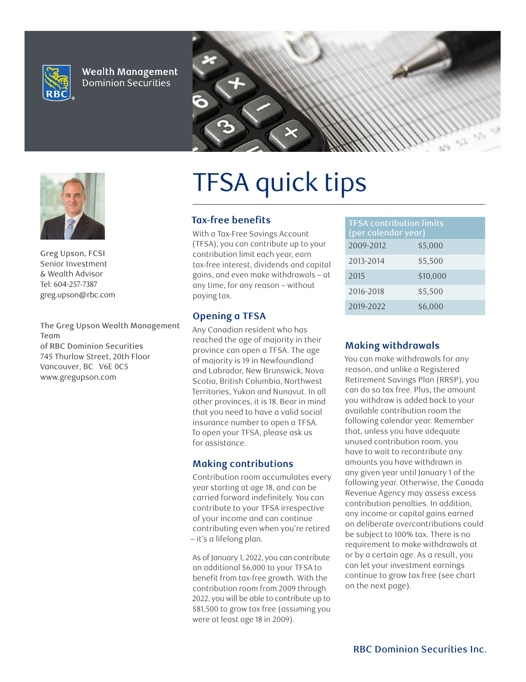

**Wealth Management Dominion Securities** 





**Greg Upson, FCSI Senior Investment & Wealth Advisor Tel: 604-257-7387 greg.upson@rbc.com**

investment **The Greg Upson Wealth Management** income to **of RBC Dominion Securities** achieve your **745 Thurlow Street, 20th Floor** financial goals. **Vancouver, BC V6E 0C5 Team www.gregupson.com**

# TFSA quick tips

#### **Tax-free benefits**

With a Tax-Free Savings Account (TFSA), you can contribute up to your contribution limit each year, earn tax-free interest, dividends and capital gains, and even make withdrawals – at any time, for any reason – without paying tax.

## **Opening a TFSA**

Any Canadian resident who has reached the age of majority in their province can open a TFSA. The age of majority is 19 in Newfoundland and Labrador, New Brunswick, Nova Scotia, British Columbia, Northwest Territories, Yukon and Nunavut. In all other provinces, it is 18. Bear in mind that you need to have a valid social insurance number to open a TFSA. To open your TFSA, please ask us for assistance.

#### **Making contributions**

Contribution room accumulates every year starting at age 18, and can be carried forward indefinitely. You can contribute to your TFSA irrespective of your income and can continue contributing even when you're retired – it's a lifelong plan.

As of January 1, 2022, you can contribute an additional \$6,000 to your TFSA to benefit from tax-free growth. With the contribution room from 2009 through 2022, you will be able to contribute up to \$81,500 to grow tax free (assuming you were at least age 18 in 2009).

| <b>TFSA contribution limits</b><br>(per calendar year) |          |
|--------------------------------------------------------|----------|
| 2009-2012                                              | \$5,000  |
| 2013-2014                                              | \$5,500  |
| 2015                                                   | \$10,000 |
| 2016-2018                                              | \$5,500  |
| 2019-2022                                              | \$6,000  |

## **Making withdrawals**

You can make withdrawals for any reason, and unlike a Registered Retirement Savings Plan (RRSP), you can do so tax free. Plus, the amount you withdraw is added back to your available contribution room the following calendar year. Remember that, unless you have adequate unused contribution room, you have to wait to recontribute any amounts you have withdrawn in any given year until January 1 of the following year. Otherwise, the Canada Revenue Agency may assess excess contribution penalties. In addition, any income or capital gains earned on deliberate overcontributions could be subject to 100% tax. There is no requirement to make withdrawals at or by a certain age. As a result, you can let your investment earnings continue to grow tax free (see chart on the next page).